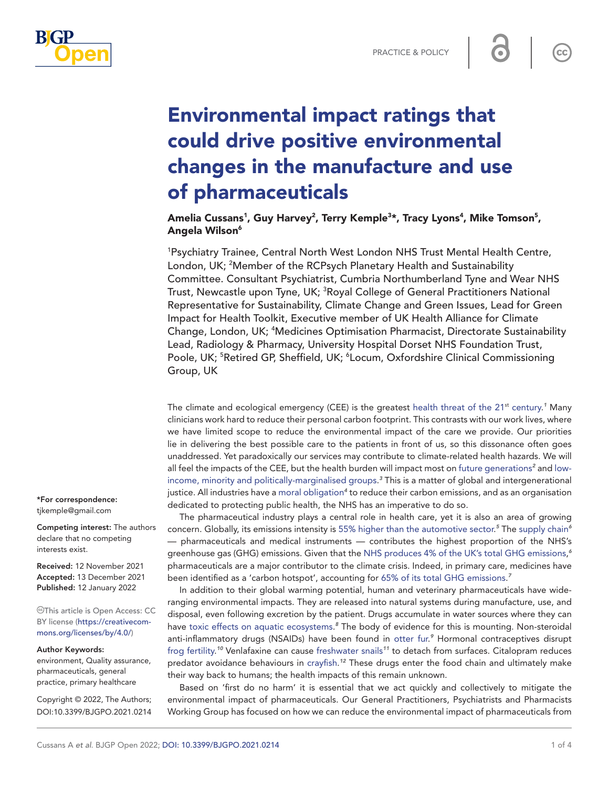

 $cc$ 



# Environmental impact ratings that could drive positive environmental changes in the manufacture and use of pharmaceuticals

## Amelia Cussans<sup>1</sup>, Guy Harvey<sup>2</sup>, Terry Kemple<sup>3</sup>\*, Tracy Lyons<sup>4</sup>, Mike Tomson<sup>5</sup>, Angela Wilson6

1 Psychiatry Trainee, Central North West London NHS Trust Mental Health Centre, London, UK; <sup>2</sup>Member of the RCPsych Planetary Health and Sustainability Committee. Consultant Psychiatrist, Cumbria Northumberland Tyne and Wear NHS Trust, Newcastle upon Tyne, UK; <sup>3</sup>Royal College of General Practitioners National Representative for Sustainability, Climate Change and Green Issues, Lead for Green Impact for Health Toolkit, Executive member of UK Health Alliance for Climate Change, London, UK; <sup>4</sup>Medicines Optimisation Pharmacist, Directorate Sustainability Lead, Radiology & Pharmacy, University Hospital Dorset NHS Foundation Trust, Poole, UK; <sup>5</sup>Retired GP, Sheffield, UK; <sup>6</sup>Locum, Oxfordshire Clinical Commissioning Group, UK

The climate and ecological emergency (CEE) is the greatest health threat of the 2[1](#page-3-0)<sup>st</sup> century.<sup>1</sup> Many clinicians work hard to reduce their personal carbon footprint. This contrasts with our work lives, where we have limited scope to reduce the environmental impact of the care we provide. Our priorities lie in delivering the best possible care to the patients in front of us, so this dissonance often goes unaddressed. Yet paradoxically our services may contribute to climate-related health hazards. We will all feel the impacts of the CEE, but the health burden will impact most on [future generations](https://journals.plos.org/plosone/article?id=10.1371/journal.pone.0081648)<sup>[2](#page-3-1)</sup> and [low](https://www.un.org/esa/desa/papers/2017/wp152_2017.pdf)[income, minority and politically-marginalised groups.](https://www.un.org/esa/desa/papers/2017/wp152_2017.pdf) *[3](#page-3-2)* This is a matter of global and intergenerational justice. All industries have a [moral obligation](https://jme.bmj.com/content/early/2021/04/14/medethics-2020-106842)<sup>[4](#page-3-3)</sup> to reduce their carbon emissions, and as an organisation dedicated to protecting public health, the NHS has an imperative to do so.

The pharmaceutical industry plays a central role in health care, yet it is also an area of growing concern. Globally, its emissions intensity is [55%](https://www.sciencedirect.com/science/article/pii/S0959652618336084) [higher than the automotive sector](https://www.sciencedirect.com/science/article/pii/S0959652618336084). *[5](#page-3-4)* The [supply chain](https://www.england.nhs.uk/greenernhs/wp-content/uploads/sites/51/2020/10/delivering-a-net-zero-national-health-service.pdf)*[6](#page-3-5)* — pharmaceuticals and medical instruments — contributes the highest proportion of the NHS's greenhouse gas (GHG) emissions. Given that the [NHS produces 4%](https://www.england.nhs.uk/greenernhs/wp-content/uploads/sites/51/2020/10/delivering-a-net-zero-national-health-service.pdf) [of the UK's total GHG emissions](https://www.england.nhs.uk/greenernhs/wp-content/uploads/sites/51/2020/10/delivering-a-net-zero-national-health-service.pdf), *[6](#page-3-5)* pharmaceuticals are a major contributor to the climate crisis. Indeed, in primary care, medicines have been identified as a 'carbon hotspot', accounting for [65%](https://www.bma.org.uk/media/2570/bma-sustainable-and-environmentally-friendly-general-practice-report-june-2020.pdf) [of its total GHG emissions.](https://www.bma.org.uk/media/2570/bma-sustainable-and-environmentally-friendly-general-practice-report-june-2020.pdf) *[7](#page-3-6)*

In addition to their global warming potential, human and veterinary pharmaceuticals have wideranging environmental impacts. They are released into natural systems during manufacture, use, and disposal, even following excretion by the patient. Drugs accumulate in water sources where they can have [toxic effects on aquatic ecosystems.](https://www.sciencedirect.com/science/article/pii/S0141113618300722) *[8](#page-3-7)* The body of evidence for this is mounting. Non-steroidal anti-inflammatory drugs (NSAIDs) have been found in [otter fur](https://link.springer.com/article/10.1007/s10344-011-0513-2).<sup>[9](#page-3-8)</sup> Hormonal contraceptives disrupt [frog fertility](https://academic.oup.com/biolreprod/article/86/4/126,%201-7/2530748?login=true). *[10](#page-3-9)* Venlafaxine can cause [freshwater snails](https://pubmed.ncbi.nlm.nih.gov/23218553/)*[11](#page-3-10)* to detach from surfaces. Citalopram reduces predator avoidance behaviours in [crayfish](https://esajournals.onlinelibrary.wiley.com/doi/full/10.1002/ecs2.3527). *[12](#page-3-11)* These drugs enter the food chain and ultimately make their way back to humans; the health impacts of this remain unknown.

Based on 'first do no harm' it is essential that we act quickly and collectively to mitigate the environmental impact of pharmaceuticals. Our General Practitioners, Psychiatrists and Pharmacists Working Group has focused on how we can reduce the environmental impact of pharmaceuticals from

\*For correspondence: [tjkemple@gmail.com](mailto:tjkemple@gmail.com)

Competing interest: The authors declare that no competing interests exist.

Received: 12 November 2021 Accepted: 13 December 2021 Published: 12 January 2022

This article is Open Access: CC BY license [\(https://creativecom](https://creativecommons.org/licenses/by/4.0/)[mons.org/licenses/by/4.0/\)](https://creativecommons.org/licenses/by/4.0/)

#### Author Keywords:

environment, Quality assurance, pharmaceuticals, general practice, primary healthcare

Copyright © 2022, The Authors; DOI:10.3399/BJGPO.2021.0214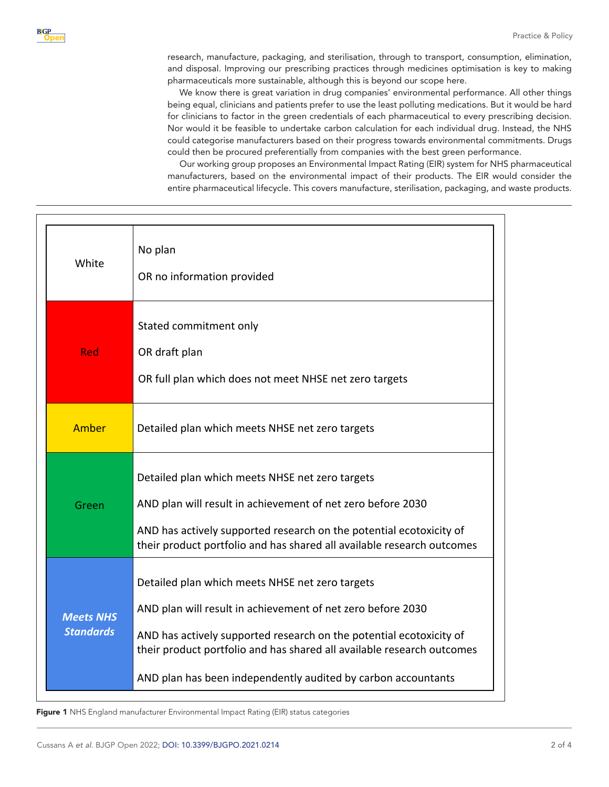research, manufacture, packaging, and sterilisation, through to transport, consumption, elimination, and disposal. Improving our prescribing practices through medicines optimisation is key to making pharmaceuticals more sustainable, although this is beyond our scope here.

We know there is great variation in drug companies' environmental performance. All other things being equal, clinicians and patients prefer to use the least polluting medications. But it would be hard for clinicians to factor in the green credentials of each pharmaceutical to every prescribing decision. Nor would it be feasible to undertake carbon calculation for each individual drug. Instead, the NHS could categorise manufacturers based on their progress towards environmental commitments. Drugs could then be procured preferentially from companies with the best green performance.

Our working group proposes an Environmental Impact Rating (EIR) system for NHS pharmaceutical manufacturers, based on the environmental impact of their products. The EIR would consider the entire pharmaceutical lifecycle. This covers manufacture, sterilisation, packaging, and waste products.

| White                                | No plan<br>OR no information provided                                                                                                                                                                                                                                                                                            |
|--------------------------------------|----------------------------------------------------------------------------------------------------------------------------------------------------------------------------------------------------------------------------------------------------------------------------------------------------------------------------------|
| <b>Red</b>                           | Stated commitment only<br>OR draft plan<br>OR full plan which does not meet NHSE net zero targets                                                                                                                                                                                                                                |
| Amber                                | Detailed plan which meets NHSE net zero targets                                                                                                                                                                                                                                                                                  |
| Green                                | Detailed plan which meets NHSE net zero targets<br>AND plan will result in achievement of net zero before 2030<br>AND has actively supported research on the potential ecotoxicity of<br>their product portfolio and has shared all available research outcomes                                                                  |
| <b>Meets NHS</b><br><b>Standards</b> | Detailed plan which meets NHSE net zero targets<br>AND plan will result in achievement of net zero before 2030<br>AND has actively supported research on the potential ecotoxicity of<br>their product portfolio and has shared all available research outcomes<br>AND plan has been independently audited by carbon accountants |

<span id="page-1-0"></span>Figure 1 NHS England manufacturer Environmental Impact Rating (EIR) status categories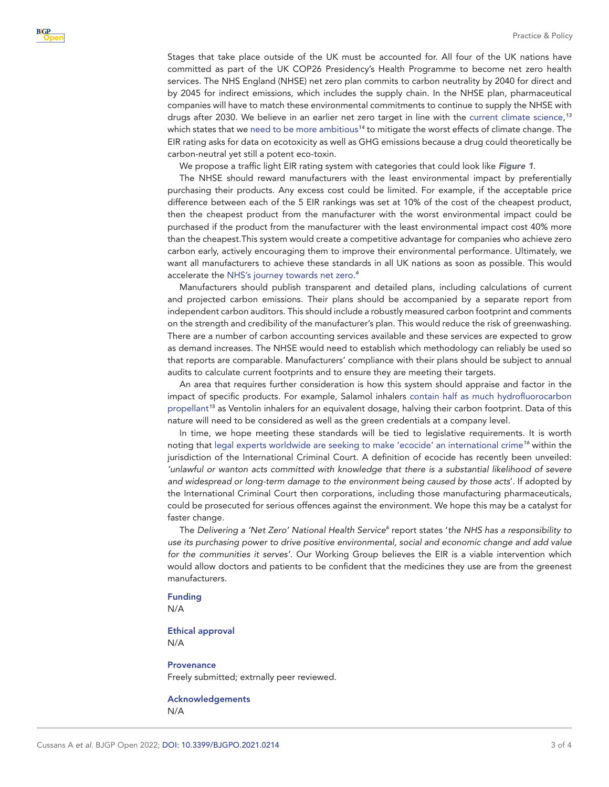Stages that take place outside of the UK must be accounted for. All four of the UK nations have committed as part of the UK COP26 Presidency's Health Programme to become net zero health services. The NHS England (NHSE) net zero plan commits to carbon neutrality by 2040 for direct and by 2045 for indirect emissions, which includes the supply chain. In the NHSE plan, pharmaceutical companies will have to match these environmental commitments to continue to supply the NHSE with drugs after 2030. We believe in an earlier net zero target in line with the [current climate science](https://www.carbonbrief.org/future-climate-projections-five-graphs-from-three-reports), *[13](#page-3-12)* which states that we [need to be more ambitious](https://www.unep.org/emissions-gap-report-2020)*[14](#page-3-13)* to mitigate the worst effects of climate change. The EIR rating asks for data on ecotoxicity as well as GHG emissions because a drug could theoretically be carbon-neutral yet still a potent eco-toxin.

We propose a traffic light EIR rating system with categories that could look like *[Figure 1](#page-1-0)*.

The NHSE should reward manufacturers with the least environmental impact by preferentially purchasing their products. Any excess cost could be limited. For example, if the acceptable price difference between each of the 5 EIR rankings was set at 10% of the cost of the cheapest product, then the cheapest product from the manufacturer with the worst environmental impact could be purchased if the product from the manufacturer with the least environmental impact cost 40% more than the cheapest.This system would create a competitive advantage for companies who achieve zero carbon early, actively encouraging them to improve their environmental performance. Ultimately, we want all manufacturers to achieve these standards in all UK nations as soon as possible. This would accelerate the [NHS's journey towards net zero](https://www.england.nhs.uk/greenernhs/wp-content/uploads/sites/51/2020/10/delivering-a-net-zero-national-health-service.pdf). *[6](#page-3-5)*

Manufacturers should publish transparent and detailed plans, including calculations of current and projected carbon emissions. Their plans should be accompanied by a separate report from independent carbon auditors. This should include a robustly measured carbon footprint and comments on the strength and credibility of the manufacturer's plan. This would reduce the risk of greenwashing. There are a number of carbon accounting services available and these services are expected to grow as demand increases. The NHSE would need to establish which methodology can reliably be used so that reports are comparable. Manufacturers' compliance with their plans should be subject to annual audits to calculate current footprints and to ensure they are meeting their targets.

An area that requires further consideration is how this system should appraise and factor in the impact of specific products. For example, Salamol inhalers [contain half as much hydrofluorocarbon](https://www.berkshirewestccg.nhs.uk/media/4209/poc-clindoc-059-reducing-the-environmental-impact-of-inhalers.pdf)  [propellant](https://www.berkshirewestccg.nhs.uk/media/4209/poc-clindoc-059-reducing-the-environmental-impact-of-inhalers.pdf)*[15](#page-3-14)* as Ventolin inhalers for an equivalent dosage, halving their carbon footprint. Data of this nature will need to be considered as well as the green credentials at a company level.

In time, we hope meeting these standards will be tied to legislative requirements. It is worth noting that [legal experts worldwide are seeking to make 'ecocide'](https://www.stopecocide.earth/) [an international crime](https://www.stopecocide.earth/)*[16](#page-3-15)* within the jurisdiction of the International Criminal Court. A definition of ecocide has recently been unveiled: *'unlawful or wanton acts committed with knowledge that there is a substantial likelihood of severe and widespread or long-term damage to the environment being caused by those acts*'. If adopted by the International Criminal Court then corporations, including those manufacturing pharmaceuticals, could be prosecuted for serious offences against the environment. We hope this may be a catalyst for faster change.

The [Delivering a 'Net Zero'](https://www.england.nhs.uk/greenernhs/wp-content/uploads/sites/51/2020/10/delivering-a-net-zero-national-health-service.pdf) [National Health Service](https://www.england.nhs.uk/greenernhs/wp-content/uploads/sites/51/2020/10/delivering-a-net-zero-national-health-service.pdf)<sup>[6](#page-3-5)</sup> report states 'the NHS has a responsibility to *use its purchasing power to drive positive environmental, social and economic change and add value for the communities it serves'*. Our Working Group believes the EIR is a viable intervention which would allow doctors and patients to be confident that the medicines they use are from the greenest manufacturers.

#### Funding

N/A

### Ethical approval N/A

**Provenance** Freely submitted; extrnally peer reviewed.

Acknowledgements N/A